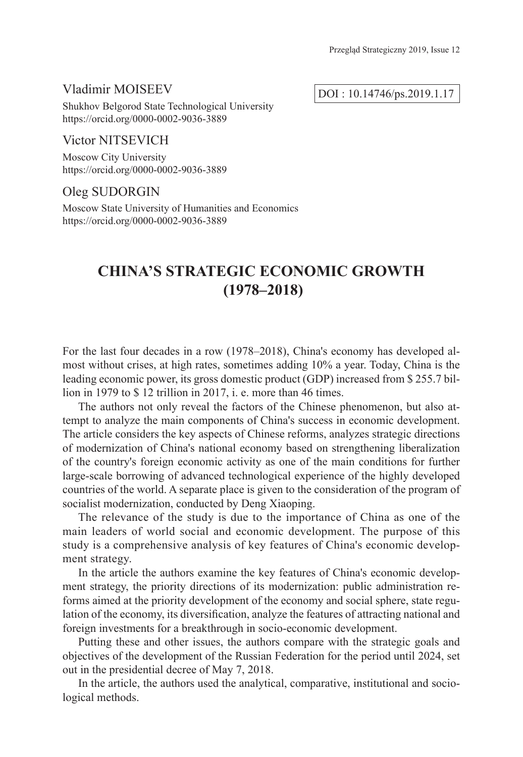# Vladimir MOISEEV

Shukhov Belgorod State Technological University https://orcid.org/0000-0002-9036-3889

Victor NITSEVICH

Moscow City University https://orcid.org/0000-0002-9036-3889

Oleg SUDORGIN

Moscow State University of Humanities and Economics https://orcid.org/0000-0002-9036-3889

# **CHINA'S STRATEGIC ECONOMIC GROWTH (1978–2018)**

For the last four decades in a row (1978–2018), China's economy has developed almost without crises, at high rates, sometimes adding 10% a year. Today, China is the leading economic power, its gross domestic product (GDP) increased from \$ 255.7 billion in 1979 to \$ 12 trillion in 2017, i. e. more than 46 times.

The authors not only reveal the factors of the Chinese phenomenon, but also attempt to analyze the main components of China's success in economic development. The article considers the key aspects of Chinese reforms, analyzes strategic directions of modernization of China's national economy based on strengthening liberalization of the country's foreign economic activity as one of the main conditions for further large-scale borrowing of advanced technological experience of the highly developed countries of the world. A separate place is given to the consideration of the program of socialist modernization, conducted by Deng Xiaoping.

The relevance of the study is due to the importance of China as one of the main leaders of world social and economic development. The purpose of this study is a comprehensive analysis of key features of China's economic development strategy.

In the article the authors examine the key features of China's economic development strategy, the priority directions of its modernization: public administration reforms aimed at the priority development of the economy and social sphere, state regulation of the economy, its diversification, analyze the features of attracting national and foreign investments for a breakthrough in socio-economic development.

Putting these and other issues, the authors compare with the strategic goals and objectives of the development of the Russian Federation for the period until 2024, set out in the presidential decree of May 7, 2018.

In the article, the authors used the analytical, comparative, institutional and sociological methods.

DOI : 10.14746/ps.2019.1.17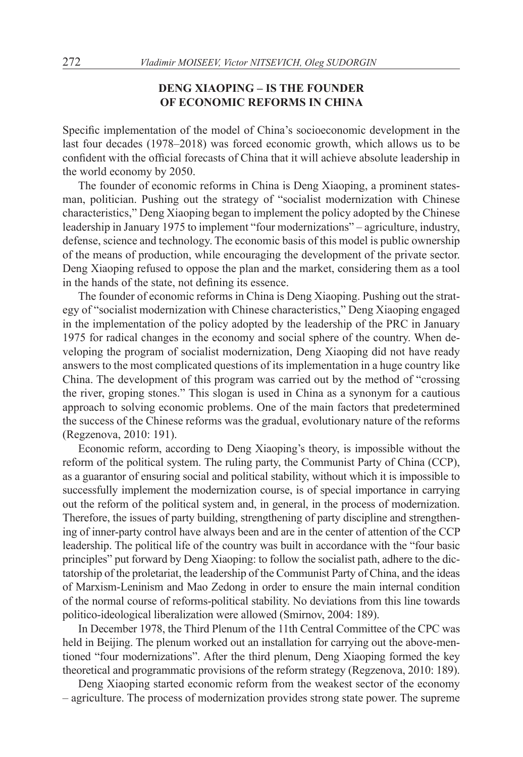## **DENG XIAOPING – IS THE FOUNDER OF ECONOMIC REFORMS IN CHINA**

Specific implementation of the model of China's socioeconomic development in the last four decades (1978–2018) was forced economic growth, which allows us to be confident with the official forecasts of China that it will achieve absolute leadership in the world economy by 2050.

The founder of economic reforms in China is Deng Xiaoping, a prominent statesman, politician. Pushing out the strategy of "socialist modernization with Chinese characteristics," Deng Xiaoping began to implement the policy adopted by the Chinese leadership in January 1975 to implement "four modernizations" – agriculture, industry, defense, science and technology. The economic basis of this model is public ownership of the means of production, while encouraging the development of the private sector. Deng Xiaoping refused to oppose the plan and the market, considering them as a tool in the hands of the state, not defining its essence.

The founder of economic reforms in China is Deng Xiaoping. Pushing out the strategy of "socialist modernization with Chinese characteristics," Deng Xiaoping engaged in the implementation of the policy adopted by the leadership of the PRC in January 1975 for radical changes in the economy and social sphere of the country. When developing the program of socialist modernization, Deng Xiaoping did not have ready answers to the most complicated questions of its implementation in a huge country like China. The development of this program was carried out by the method of "crossing the river, groping stones." This slogan is used in China as a synonym for a cautious approach to solving economic problems. One of the main factors that predetermined the success of the Chinese reforms was the gradual, evolutionary nature of the reforms (Regzenova, 2010: 191).

Economic reform, according to Deng Xiaoping's theory, is impossible without the reform of the political system. The ruling party, the Communist Party of China (CCP), as a guarantor of ensuring social and political stability, without which it is impossible to successfully implement the modernization course, is of special importance in carrying out the reform of the political system and, in general, in the process of modernization. Therefore, the issues of party building, strengthening of party discipline and strengthening of inner-party control have always been and are in the center of attention of the CCP leadership. The political life of the country was built in accordance with the "four basic principles" put forward by Deng Xiaoping: to follow the socialist path, adhere to the dictatorship of the proletariat, the leadership of the Communist Party of China, and the ideas of Marxism-Leninism and Mao Zedong in order to ensure the main internal condition of the normal course of reforms-political stability. No deviations from this line towards politico-ideological liberalization were allowed (Smirnov, 2004: 189).

In December 1978, the Third Plenum of the 11th Central Committee of the CPC was held in Beijing. The plenum worked out an installation for carrying out the above-mentioned "four modernizations". After the third plenum, Deng Xiaoping formed the key theoretical and programmatic provisions of the reform strategy (Regzenova, 2010: 189).

Deng Xiaoping started economic reform from the weakest sector of the economy – agriculture. The process of modernization provides strong state power. The supreme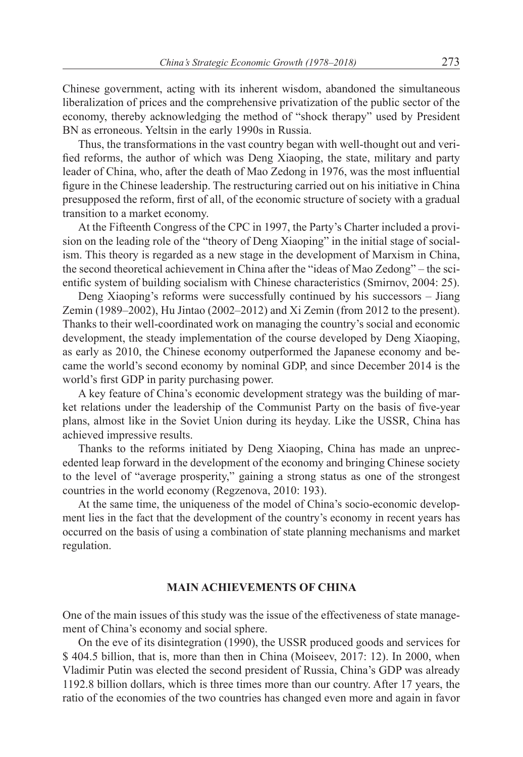Chinese government, acting with its inherent wisdom, abandoned the simultaneous liberalization of prices and the comprehensive privatization of the public sector of the economy, thereby acknowledging the method of "shock therapy" used by President BN as erroneous. Yeltsin in the early 1990s in Russia.

Thus, the transformations in the vast country began with well-thought out and verified reforms, the author of which was Deng Xiaoping, the state, military and party leader of China, who, after the death of Mao Zedong in 1976, was the most influential figure in the Chinese leadership. The restructuring carried out on his initiative in China presupposed the reform, first of all, of the economic structure of society with a gradual transition to a market economy.

At the Fifteenth Congress of the CPC in 1997, the Party's Charter included a provision on the leading role of the "theory of Deng Xiaoping" in the initial stage of socialism. This theory is regarded as a new stage in the development of Marxism in China, the second theoretical achievement in China after the "ideas of Mao Zedong" – the scientific system of building socialism with Chinese characteristics (Smirnov, 2004: 25).

Deng Xiaoping's reforms were successfully continued by his successors – Jiang Zemin (1989–2002), Hu Jintao (2002–2012) and Xi Zemin (from 2012 to the present). Thanks to their well-coordinated work on managing the country's social and economic development, the steady implementation of the course developed by Deng Xiaoping, as early as 2010, the Chinese economy outperformed the Japanese economy and became the world's second economy by nominal GDP, and since December 2014 is the world's first GDP in parity purchasing power.

A key feature of China's economic development strategy was the building of market relations under the leadership of the Communist Party on the basis of five-year plans, almost like in the Soviet Union during its heyday. Like the USSR, China has achieved impressive results.

Thanks to the reforms initiated by Deng Xiaoping, China has made an unprecedented leap forward in the development of the economy and bringing Chinese society to the level of "average prosperity," gaining a strong status as one of the strongest countries in the world economy (Regzenova, 2010: 193).

At the same time, the uniqueness of the model of China's socio-economic development lies in the fact that the development of the country's economy in recent years has occurred on the basis of using a combination of state planning mechanisms and market regulation.

## **MAIN ACHIEVEMENTS OF CHINA**

One of the main issues of this study was the issue of the effectiveness of state management of China's economy and social sphere.

On the eve of its disintegration (1990), the USSR produced goods and services for \$ 404.5 billion, that is, more than then in China (Moiseev, 2017: 12). In 2000, when Vladimir Putin was elected the second president of Russia, China's GDP was already 1192.8 billion dollars, which is three times more than our country. After 17 years, the ratio of the economies of the two countries has changed even more and again in favor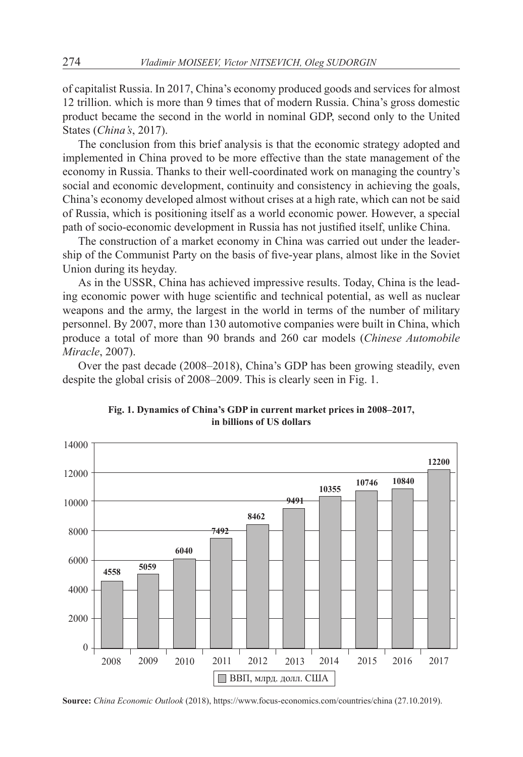of capitalist Russia. In 2017, China's economy produced goods and services for almost 12 trillion. which is more than 9 times that of modern Russia. China's gross domestic product became the second in the world in nominal GDP, second only to the United States (*China's*, 2017).

The conclusion from this brief analysis is that the economic strategy adopted and implemented in China proved to be more effective than the state management of the economy in Russia. Thanks to their well-coordinated work on managing the country's social and economic development, continuity and consistency in achieving the goals, China's economy developed almost without crises at a high rate, which can not be said of Russia, which is positioning itself as a world economic power. However, a special path of socio-economic development in Russia has not justified itself, unlike China.

The construction of a market economy in China was carried out under the leadership of the Communist Party on the basis of five-year plans, almost like in the Soviet Union during its heyday.

As in the USSR, China has achieved impressive results. Today, China is the leading economic power with huge scientific and technical potential, as well as nuclear weapons and the army, the largest in the world in terms of the number of military personnel. By 2007, more than 130 automotive companies were built in China, which produce a total of more than 90 brands and 260 car models (*Chinese Automobile Miracle*, 2007).

Over the past decade (2008–2018), China's GDP has been growing steadily, even despite the global crisis of 2008–2009. This is clearly seen in Fig. 1.



**Fig. 1. Dynamics of China's GDP in current market prices in 2008–2017, in billions of US dollars**

**Source:** *China Economic Outlook* (2018), https://www.focus-economics.com/countries/china (27.10.2019).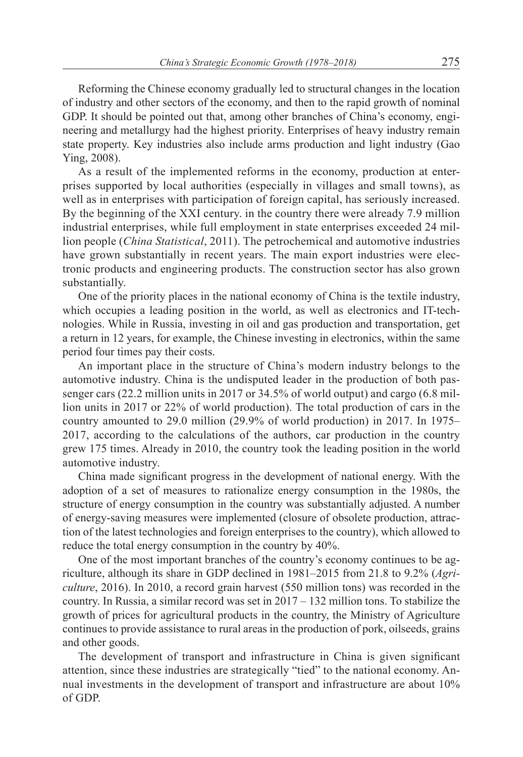Reforming the Chinese economy gradually led to structural changes in the location of industry and other sectors of the economy, and then to the rapid growth of nominal GDP. It should be pointed out that, among other branches of China's economy, engineering and metallurgy had the highest priority. Enterprises of heavy industry remain state property. Key industries also include arms production and light industry (Gao Ying, 2008).

As a result of the implemented reforms in the economy, production at enterprises supported by local authorities (especially in villages and small towns), as well as in enterprises with participation of foreign capital, has seriously increased. By the beginning of the XXI century. in the country there were already 7.9 million industrial enterprises, while full employment in state enterprises exceeded 24 million people (*China Statistical*, 2011). The petrochemical and automotive industries have grown substantially in recent years. The main export industries were electronic products and engineering products. The construction sector has also grown substantially.

One of the priority places in the national economy of China is the textile industry, which occupies a leading position in the world, as well as electronics and IT-technologies. While in Russia, investing in oil and gas production and transportation, get a return in 12 years, for example, the Chinese investing in electronics, within the same period four times pay their costs.

An important place in the structure of China's modern industry belongs to the automotive industry. China is the undisputed leader in the production of both passenger cars (22.2 million units in 2017 or 34.5% of world output) and cargo (6.8 million units in 2017 or 22% of world production). The total production of cars in the country amounted to 29.0 million (29.9% of world production) in 2017. In 1975– 2017, according to the calculations of the authors, car production in the country grew 175 times. Already in 2010, the country took the leading position in the world automotive industry.

China made significant progress in the development of national energy. With the adoption of a set of measures to rationalize energy consumption in the 1980s, the structure of energy consumption in the country was substantially adjusted. A number of energy-saving measures were implemented (closure of obsolete production, attraction of the latest technologies and foreign enterprises to the country), which allowed to reduce the total energy consumption in the country by 40%.

One of the most important branches of the country's economy continues to be agriculture, although its share in GDP declined in 1981–2015 from 21.8 to 9.2% (*Agriculture*, 2016). In 2010, a record grain harvest (550 million tons) was recorded in the country. In Russia, a similar record was set in  $2017 - 132$  million tons. To stabilize the growth of prices for agricultural products in the country, the Ministry of Agriculture continues to provide assistance to rural areas in the production of pork, oilseeds, grains and other goods.

The development of transport and infrastructure in China is given significant attention, since these industries are strategically "tied" to the national economy. Annual investments in the development of transport and infrastructure are about 10% of GDP.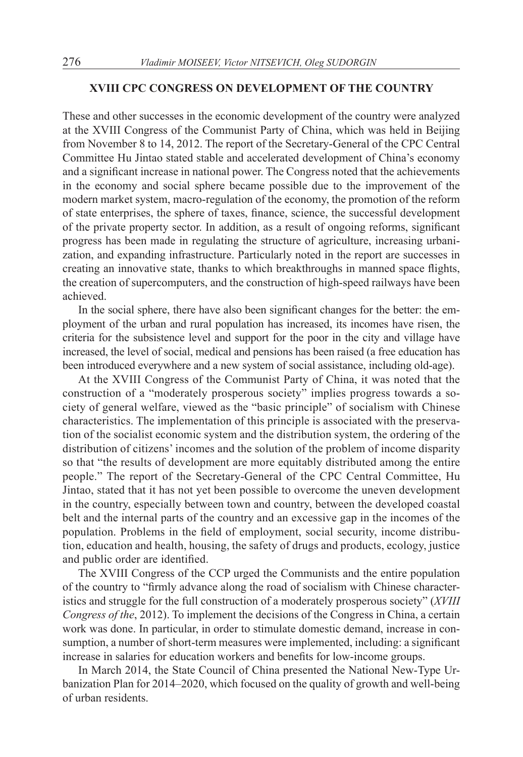# **XVIII CPC CONGRESS ON DEVELOPMENT OF THE COUNTRY**

These and other successes in the economic development of the country were analyzed at the XVIII Congress of the Communist Party of China, which was held in Beijing from November 8 to 14, 2012. The report of the Secretary-General of the CPC Central Committee Hu Jintao stated stable and accelerated development of China's economy and a significant increase in national power. The Congress noted that the achievements in the economy and social sphere became possible due to the improvement of the modern market system, macro-regulation of the economy, the promotion of the reform of state enterprises, the sphere of taxes, finance, science, the successful development of the private property sector. In addition, as a result of ongoing reforms, significant progress has been made in regulating the structure of agriculture, increasing urbanization, and expanding infrastructure. Particularly noted in the report are successes in creating an innovative state, thanks to which breakthroughs in manned space flights, the creation of supercomputers, and the construction of high-speed railways have been achieved.

In the social sphere, there have also been significant changes for the better: the employment of the urban and rural population has increased, its incomes have risen, the criteria for the subsistence level and support for the poor in the city and village have increased, the level of social, medical and pensions has been raised (a free education has been introduced everywhere and a new system of social assistance, including old-age).

At the XVIII Congress of the Communist Party of China, it was noted that the construction of a "moderately prosperous society" implies progress towards a society of general welfare, viewed as the "basic principle" of socialism with Chinese characteristics. The implementation of this principle is associated with the preservation of the socialist economic system and the distribution system, the ordering of the distribution of citizens' incomes and the solution of the problem of income disparity so that "the results of development are more equitably distributed among the entire people." The report of the Secretary-General of the CPC Central Committee, Hu Jintao, stated that it has not yet been possible to overcome the uneven development in the country, especially between town and country, between the developed coastal belt and the internal parts of the country and an excessive gap in the incomes of the population. Problems in the field of employment, social security, income distribution, education and health, housing, the safety of drugs and products, ecology, justice and public order are identified.

The XVIII Congress of the CCP urged the Communists and the entire population of the country to "firmly advance along the road of socialism with Chinese characteristics and struggle for the full construction of a moderately prosperous society" (*XVIII Congress of the*, 2012). To implement the decisions of the Congress in China, a certain work was done. In particular, in order to stimulate domestic demand, increase in consumption, a number of short-term measures were implemented, including: a significant increase in salaries for education workers and benefits for low-income groups.

In March 2014, the State Council of China presented the National New-Type Urbanization Plan for 2014–2020, which focused on the quality of growth and well-being of urban residents.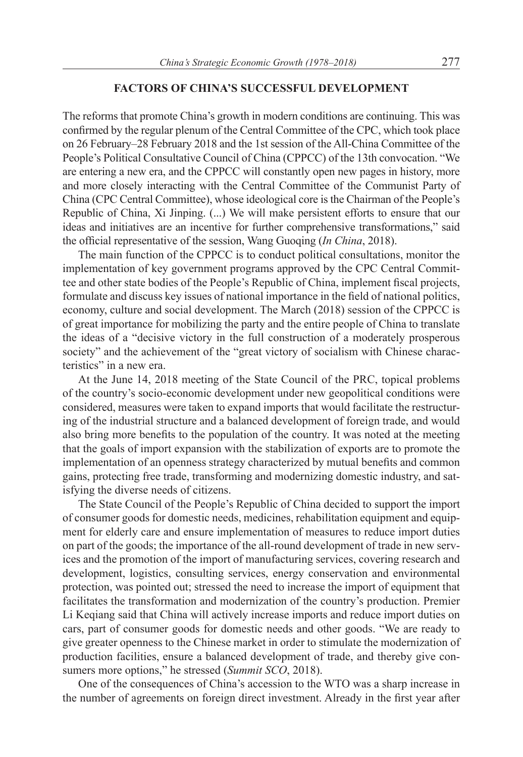## **FACTORS OF CHINA'S SUCCESSFUL DEVELOPMENT**

The reforms that promote China's growth in modern conditions are continuing. This was confirmed by the regular plenum of the Central Committee of the CPC, which took place on 26 February–28 February 2018 and the 1st session of the All-China Committee of the People's Political Consultative Council of China (CPPCC) of the 13th convocation. "We are entering a new era, and the CPPCC will constantly open new pages in history, more and more closely interacting with the Central Committee of the Communist Party of China (CPC Central Committee), whose ideological core is the Chairman of the People's Republic of China, Xi Jinping. (...) We will make persistent efforts to ensure that our ideas and initiatives are an incentive for further comprehensive transformations," said the official representative of the session, Wang Guoqing (*In China*, 2018).

The main function of the CPPCC is to conduct political consultations, monitor the implementation of key government programs approved by the CPC Central Committee and other state bodies of the People's Republic of China, implement fiscal projects, formulate and discuss key issues of national importance in the field of national politics, economy, culture and social development. The March (2018) session of the CPPCC is of great importance for mobilizing the party and the entire people of China to translate the ideas of a "decisive victory in the full construction of a moderately prosperous society" and the achievement of the "great victory of socialism with Chinese characteristics" in a new era.

At the June 14, 2018 meeting of the State Council of the PRC, topical problems of the country's socio-economic development under new geopolitical conditions were considered, measures were taken to expand imports that would facilitate the restructuring of the industrial structure and a balanced development of foreign trade, and would also bring more benefits to the population of the country. It was noted at the meeting that the goals of import expansion with the stabilization of exports are to promote the implementation of an openness strategy characterized by mutual benefits and common gains, protecting free trade, transforming and modernizing domestic industry, and satisfying the diverse needs of citizens.

The State Council of the People's Republic of China decided to support the import of consumer goods for domestic needs, medicines, rehabilitation equipment and equipment for elderly care and ensure implementation of measures to reduce import duties on part of the goods; the importance of the all-round development of trade in new services and the promotion of the import of manufacturing services, covering research and development, logistics, consulting services, energy conservation and environmental protection, was pointed out; stressed the need to increase the import of equipment that facilitates the transformation and modernization of the country's production. Premier Li Keqiang said that China will actively increase imports and reduce import duties on cars, part of consumer goods for domestic needs and other goods. "We are ready to give greater openness to the Chinese market in order to stimulate the modernization of production facilities, ensure a balanced development of trade, and thereby give consumers more options," he stressed (*Summit SCO*, 2018).

One of the consequences of China's accession to the WTO was a sharp increase in the number of agreements on foreign direct investment. Already in the first year after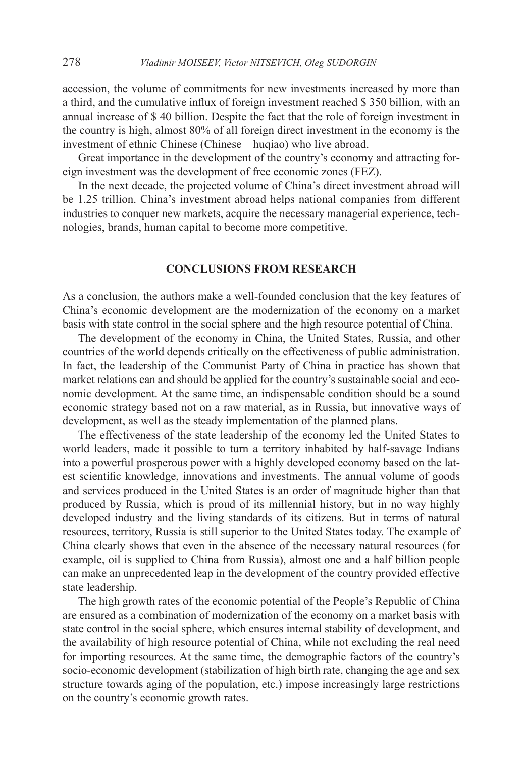accession, the volume of commitments for new investments increased by more than a third, and the cumulative influx of foreign investment reached \$ 350 billion, with an annual increase of \$ 40 billion. Despite the fact that the role of foreign investment in the country is high, almost 80% of all foreign direct investment in the economy is the investment of ethnic Chinese (Chinese – huqiao) who live abroad.

Great importance in the development of the country's economy and attracting foreign investment was the development of free economic zones (FEZ).

In the next decade, the projected volume of China's direct investment abroad will be 1.25 trillion. China's investment abroad helps national companies from different industries to conquer new markets, acquire the necessary managerial experience, technologies, brands, human capital to become more competitive.

## **CONCLUSIONS FROM RESEARCH**

As a conclusion, the authors make a well-founded conclusion that the key features of China's economic development are the modernization of the economy on a market basis with state control in the social sphere and the high resource potential of China.

The development of the economy in China, the United States, Russia, and other countries of the world depends critically on the effectiveness of public administration. In fact, the leadership of the Communist Party of China in practice has shown that market relations can and should be applied for the country's sustainable social and economic development. At the same time, an indispensable condition should be a sound economic strategy based not on a raw material, as in Russia, but innovative ways of development, as well as the steady implementation of the planned plans.

The effectiveness of the state leadership of the economy led the United States to world leaders, made it possible to turn a territory inhabited by half-savage Indians into a powerful prosperous power with a highly developed economy based on the latest scientific knowledge, innovations and investments. The annual volume of goods and services produced in the United States is an order of magnitude higher than that produced by Russia, which is proud of its millennial history, but in no way highly developed industry and the living standards of its citizens. But in terms of natural resources, territory, Russia is still superior to the United States today. The example of China clearly shows that even in the absence of the necessary natural resources (for example, oil is supplied to China from Russia), almost one and a half billion people can make an unprecedented leap in the development of the country provided effective state leadership.

The high growth rates of the economic potential of the People's Republic of China are ensured as a combination of modernization of the economy on a market basis with state control in the social sphere, which ensures internal stability of development, and the availability of high resource potential of China, while not excluding the real need for importing resources. At the same time, the demographic factors of the country's socio-economic development (stabilization of high birth rate, changing the age and sex structure towards aging of the population, etc.) impose increasingly large restrictions on the country's economic growth rates.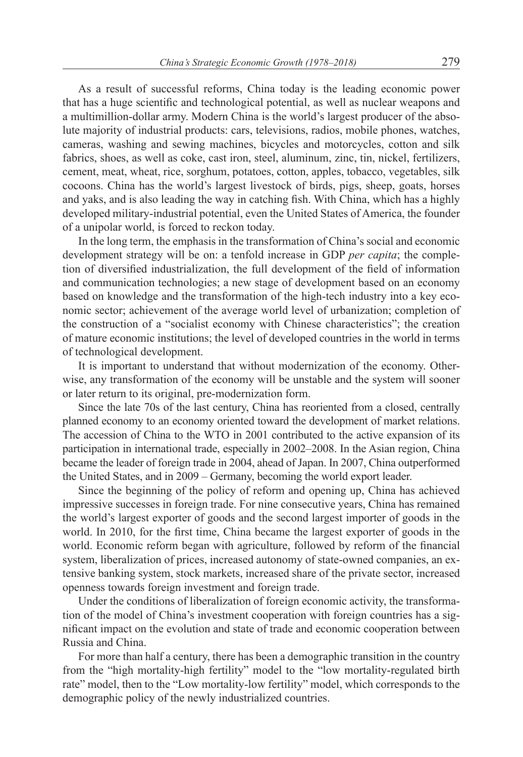As a result of successful reforms, China today is the leading economic power that has a huge scientific and technological potential, as well as nuclear weapons and a multimillion-dollar army. Modern China is the world's largest producer of the absolute majority of industrial products: cars, televisions, radios, mobile phones, watches, cameras, washing and sewing machines, bicycles and motorcycles, cotton and silk fabrics, shoes, as well as coke, cast iron, steel, aluminum, zinc, tin, nickel, fertilizers, cement, meat, wheat, rice, sorghum, potatoes, cotton, apples, tobacco, vegetables, silk cocoons. China has the world's largest livestock of birds, pigs, sheep, goats, horses and yaks, and is also leading the way in catching fish. With China, which has a highly developed military-industrial potential, even the United States of America, the founder of a unipolar world, is forced to reckon today.

In the long term, the emphasis in the transformation of China's social and economic development strategy will be on: a tenfold increase in GDP *per capita*; the completion of diversified industrialization, the full development of the field of information and communication technologies; a new stage of development based on an economy based on knowledge and the transformation of the high-tech industry into a key economic sector; achievement of the average world level of urbanization; completion of the construction of a "socialist economy with Chinese characteristics"; the creation of mature economic institutions; the level of developed countries in the world in terms of technological development.

It is important to understand that without modernization of the economy. Otherwise, any transformation of the economy will be unstable and the system will sooner or later return to its original, pre-modernization form.

Since the late 70s of the last century, China has reoriented from a closed, centrally planned economy to an economy oriented toward the development of market relations. The accession of China to the WTO in 2001 contributed to the active expansion of its participation in international trade, especially in 2002–2008. In the Asian region, China became the leader of foreign trade in 2004, ahead of Japan. In 2007, China outperformed the United States, and in 2009 – Germany, becoming the world export leader.

Since the beginning of the policy of reform and opening up, China has achieved impressive successes in foreign trade. For nine consecutive years, China has remained the world's largest exporter of goods and the second largest importer of goods in the world. In 2010, for the first time, China became the largest exporter of goods in the world. Economic reform began with agriculture, followed by reform of the financial system, liberalization of prices, increased autonomy of state-owned companies, an extensive banking system, stock markets, increased share of the private sector, increased openness towards foreign investment and foreign trade.

Under the conditions of liberalization of foreign economic activity, the transformation of the model of China's investment cooperation with foreign countries has a significant impact on the evolution and state of trade and economic cooperation between Russia and China.

For more than half a century, there has been a demographic transition in the country from the "high mortality-high fertility" model to the "low mortality-regulated birth rate" model, then to the "Low mortality-low fertility" model, which corresponds to the demographic policy of the newly industrialized countries.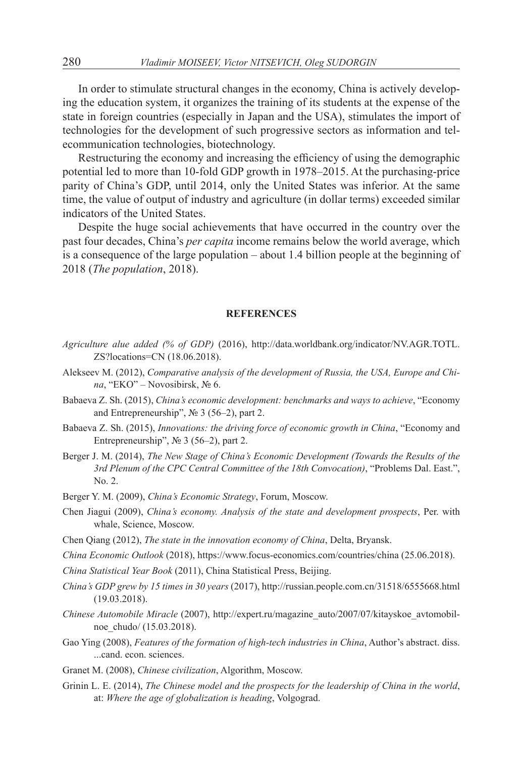In order to stimulate structural changes in the economy, China is actively developing the education system, it organizes the training of its students at the expense of the state in foreign countries (especially in Japan and the USA), stimulates the import of technologies for the development of such progressive sectors as information and telecommunication technologies, biotechnology.

Restructuring the economy and increasing the efficiency of using the demographic potential led to more than 10-fold GDP growth in 1978–2015. At the purchasing-price parity of China's GDP, until 2014, only the United States was inferior. At the same time, the value of output of industry and agriculture (in dollar terms) exceeded similar indicators of the United States.

Despite the huge social achievements that have occurred in the country over the past four decades, China's *per capita* income remains below the world average, which is a consequence of the large population – about 1.4 billion people at the beginning of 2018 (*The population*, 2018).

#### **REFERENCES**

- *Agriculture alue added (% of GDP)* (2016), http://data.worldbank.org/indicator/NV.AGR.TOTL. ZS?locations=CN (18.06.2018).
- Alekseev M. (2012), *Comparative analysis of the development of Russia, the USA, Europe and China*, "EKO" – Novosibirsk, № 6.
- Babaeva Z. Sh. (2015), *China's economic development: benchmarks and ways to achieve*, "Economy and Entrepreneurship", № 3 (56–2), part 2.
- Babaeva Z. Sh. (2015), *Innovations: the driving force of economic growth in China*, "Economy and Entrepreneurship", № 3 (56–2), part 2.
- Berger J. M. (2014), *The New Stage of China's Economic Development (Towards the Results of the 3rd Plenum of the CPC Central Committee of the 18th Convocation)*, "Problems Dal. East.", No. 2.
- Berger Y. M. (2009), *China's Economic Strategy*, Forum, Moscow.
- Chen Jiagui (2009), *China's economy. Analysis of the state and development prospects*, Per. with whale, Science, Moscow.
- Chen Qiang (2012), *The state in the innovation economy of China*, Delta, Bryansk.
- *China Economic Outlook* (2018), https://www.focus-economics.com/countries/china (25.06.2018).
- *China Statistical Year Book* (2011), China Statistical Press, Beijing.
- *China's GDP grew by 15 times in 30 years* (2017), http://russian.people.com.cn/31518/6555668.html (19.03.2018).
- *Chinese Automobile Miracle* (2007), http://expert.ru/magazine\_auto/2007/07/kitayskoe\_avtomobilnoe\_chudo/ (15.03.2018).
- Gao Ying (2008), *Features of the formation of high-tech industries in China*, Author's abstract. diss. ...cand. econ. sciences.
- Granet M. (2008), *Chinese civilization*, Algorithm, Moscow.
- Grinin L. E. (2014), *The Chinese model and the prospects for the leadership of China in the world*, at: *Where the age of globalization is heading*, Volgograd.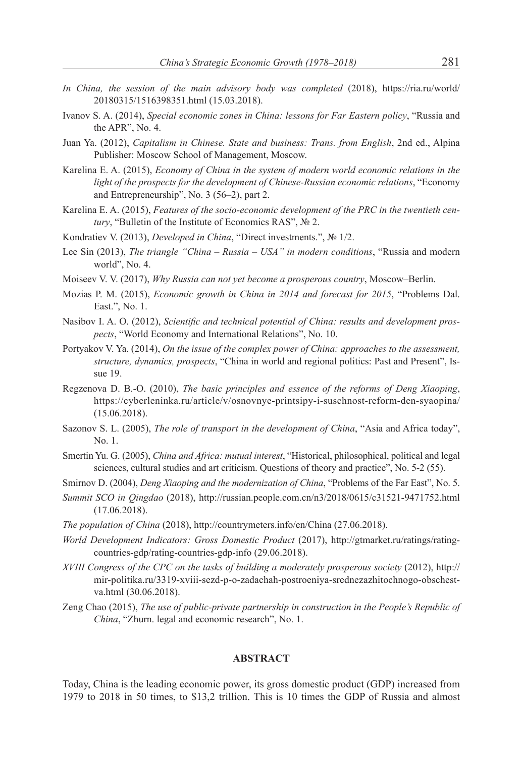- *In China, the session of the main advisory body was completed* (2018), https://ria.ru/world/ 20180315/1516398351.html (15.03.2018).
- Ivanov S. A. (2014), *Special economic zones in China: lessons for Far Eastern policy*, "Russia and the APR", No. 4.
- Juan Ya. (2012), *Capitalism in Chinese. State and business: Trans. from English*, 2nd ed., Alpina Publisher: Moscow School of Management, Moscow.
- Karelina E. A. (2015), *Economy of China in the system of modern world economic relations in the light of the prospects for the development of Chinese-Russian economic relations*, "Economy and Entrepreneurship", No. 3 (56–2), part 2.
- Karelina E. A. (2015), *Features of the socio-economic development of the PRC in the twentieth century*, "Bulletin of the Institute of Economics RAS", № 2.
- Kondratiev V. (2013), *Developed in China*, "Direct investments.", № 1/2.
- Lee Sin (2013), *The triangle "China Russia USA" in modern conditions*, "Russia and modern world", No. 4.
- Moiseev V. V. (2017), *Why Russia can not yet become a prosperous country*, Moscow–Berlin.
- Mozias P. M. (2015), *Economic growth in China in 2014 and forecast for 2015*, "Problems Dal. East.", No. 1.
- Nasibov I. A. O. (2012), *Scientific and technical potential of China: results and development prospects*, "World Economy and International Relations", No. 10.
- Portyakov V. Ya. (2014), *On the issue of the complex power of China: approaches to the assessment, structure, dynamics, prospects*, "China in world and regional politics: Past and Present", Issue 19.
- Regzenova D. B.-O. (2010), *The basic principles and essence of the reforms of Deng Xiaoping*, https://cyberleninka.ru/article/v/osnovnye-printsipy-i-suschnost-reform-den-syaopina/ (15.06.2018).
- Sazonov S. L. (2005), *The role of transport in the development of China*, "Asia and Africa today", No. 1.
- Smertin Yu. G. (2005), *China and Africa: mutual interest*, "Historical, philosophical, political and legal sciences, cultural studies and art criticism. Questions of theory and practice", No. 5-2 (55).
- Smirnov D. (2004), *Deng Xiaoping and the modernization of China*, "Problems of the Far East", No. 5.
- *Summit SCO in Qingdao* (2018), http://russian.people.com.cn/n3/2018/0615/c31521-9471752.html (17.06.2018).
- *The population of China* (2018), http://countrymeters.info/en/China (27.06.2018).
- *World Development Indicators: Gross Domestic Product* (2017), http://gtmarket.ru/ratings/ratingcountries-gdp/rating-countries-gdp-info (29.06.2018).
- *XVIII Congress of the CPC on the tasks of building a moderately prosperous society* (2012), http:// mir-politika.ru/3319-xviii-sezd-p-o-zadachah-postroeniya-srednezazhitochnogo-obschestva.html (30.06.2018).
- Zeng Chao (2015), *The use of public-private partnership in construction in the People's Republic of China*, "Zhurn. legal and economic research", No. 1.

## **ABSTRACT**

Today, China is the leading economic power, its gross domestic product (GDP) increased from 1979 to 2018 in 50 times, to \$13,2 trillion. This is 10 times the GDP of Russia and almost